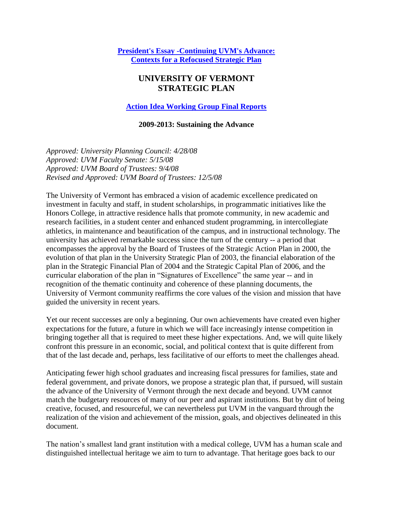**[President's Essay -Continuing UVM's Advance:](https://www.uvm.edu/sites/default/files/UVM-Board-of-Trustees/policy_manual/Continuing_UVMs_Advance_Contexts_for_a_Refocused_Strategic_Plan.pdf)  Contexts for a Refocused Strategic Plan**

# **UNIVERSITY OF VERMONT STRATEGIC PLAN**

**[Action Idea Working Group Final Reports](https://www.uvm.edu/sites/default/files/UVM-Board-of-Trustees/policy_manual/ActionIdeaWorkingGroupRecommendations_2.pdf)**

#### **2009-2013: Sustaining the Advance**

*Approved: University Planning Council: 4/28/08 Approved: UVM Faculty Senate: 5/15/08 Approved: UVM Board of Trustees: 9/4/08 Revised and Approved: UVM Board of Trustees: 12/5/08*

The University of Vermont has embraced a vision of academic excellence predicated on investment in faculty and staff, in student scholarships, in programmatic initiatives like the Honors College, in attractive residence halls that promote community, in new academic and research facilities, in a student center and enhanced student programming, in intercollegiate athletics, in maintenance and beautification of the campus, and in instructional technology. The university has achieved remarkable success since the turn of the century -- a period that encompasses the approval by the Board of Trustees of the Strategic Action Plan in 2000, the evolution of that plan in the University Strategic Plan of 2003, the financial elaboration of the plan in the Strategic Financial Plan of 2004 and the Strategic Capital Plan of 2006, and the curricular elaboration of the plan in "Signatures of Excellence" the same year -- and in recognition of the thematic continuity and coherence of these planning documents, the University of Vermont community reaffirms the core values of the vision and mission that have guided the university in recent years.

Yet our recent successes are only a beginning. Our own achievements have created even higher expectations for the future, a future in which we will face increasingly intense competition in bringing together all that is required to meet these higher expectations. And, we will quite likely confront this pressure in an economic, social, and political context that is quite different from that of the last decade and, perhaps, less facilitative of our efforts to meet the challenges ahead.

Anticipating fewer high school graduates and increasing fiscal pressures for families, state and federal government, and private donors, we propose a strategic plan that, if pursued, will sustain the advance of the University of Vermont through the next decade and beyond. UVM cannot match the budgetary resources of many of our peer and aspirant institutions. But by dint of being creative, focused, and resourceful, we can nevertheless put UVM in the vanguard through the realization of the vision and achievement of the mission, goals, and objectives delineated in this document.

The nation's smallest land grant institution with a medical college, UVM has a human scale and distinguished intellectual heritage we aim to turn to advantage. That heritage goes back to our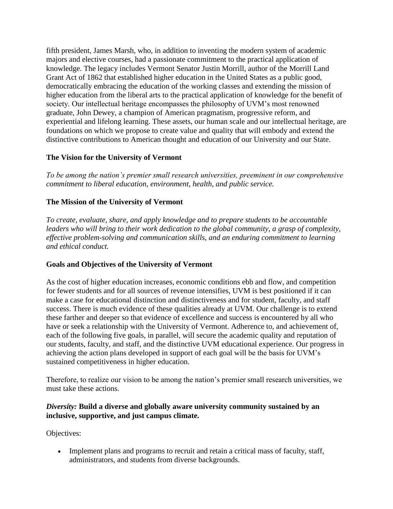fifth president, James Marsh, who, in addition to inventing the modern system of academic majors and elective courses, had a passionate commitment to the practical application of knowledge. The legacy includes Vermont Senator Justin Morrill, author of the Morrill Land Grant Act of 1862 that established higher education in the United States as a public good, democratically embracing the education of the working classes and extending the mission of higher education from the liberal arts to the practical application of knowledge for the benefit of society. Our intellectual heritage encompasses the philosophy of UVM's most renowned graduate, John Dewey, a champion of American pragmatism, progressive reform, and experiential and lifelong learning. These assets, our human scale and our intellectual heritage, are foundations on which we propose to create value and quality that will embody and extend the distinctive contributions to American thought and education of our University and our State.

# **The Vision for the University of Vermont**

*To be among the nation's premier small research universities, preeminent in our comprehensive commitment to liberal education, environment, health, and public service.*

# **The Mission of the University of Vermont**

*To create, evaluate, share, and apply knowledge and to prepare students to be accountable leaders who will bring to their work dedication to the global community, a grasp of complexity, effective problem-solving and communication skills, and an enduring commitment to learning and ethical conduct.*

#### **Goals and Objectives of the University of Vermont**

As the cost of higher education increases, economic conditions ebb and flow, and competition for fewer students and for all sources of revenue intensifies, UVM is best positioned if it can make a case for educational distinction and distinctiveness and for student, faculty, and staff success. There is much evidence of these qualities already at UVM. Our challenge is to extend these farther and deeper so that evidence of excellence and success is encountered by all who have or seek a relationship with the University of Vermont. Adherence to, and achievement of, each of the following five goals, in parallel, will secure the academic quality and reputation of our students, faculty, and staff, and the distinctive UVM educational experience. Our progress in achieving the action plans developed in support of each goal will be the basis for UVM's sustained competitiveness in higher education.

Therefore, to realize our vision to be among the nation's premier small research universities, we must take these actions.

#### *Diversity:* **Build a diverse and globally aware university community sustained by an inclusive, supportive, and just campus climate.**

Objectives:

• Implement plans and programs to recruit and retain a critical mass of faculty, staff, administrators, and students from diverse backgrounds.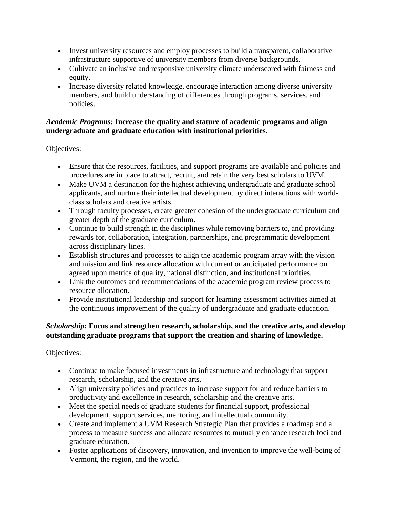- Invest university resources and employ processes to build a transparent, collaborative infrastructure supportive of university members from diverse backgrounds.
- Cultivate an inclusive and responsive university climate underscored with fairness and equity.
- Increase diversity related knowledge, encourage interaction among diverse university members, and build understanding of differences through programs, services, and policies.

# *Academic Programs:* **Increase the quality and stature of academic programs and align undergraduate and graduate education with institutional priorities.**

Objectives:

- Ensure that the resources, facilities, and support programs are available and policies and procedures are in place to attract, recruit, and retain the very best scholars to UVM.
- Make UVM a destination for the highest achieving undergraduate and graduate school applicants, and nurture their intellectual development by direct interactions with worldclass scholars and creative artists.
- Through faculty processes, create greater cohesion of the undergraduate curriculum and greater depth of the graduate curriculum.
- Continue to build strength in the disciplines while removing barriers to, and providing rewards for, collaboration, integration, partnerships, and programmatic development across disciplinary lines.
- Establish structures and processes to align the academic program array with the vision and mission and link resource allocation with current or anticipated performance on agreed upon metrics of quality, national distinction, and institutional priorities.
- Link the outcomes and recommendations of the academic program review process to resource allocation.
- Provide institutional leadership and support for learning assessment activities aimed at the continuous improvement of the quality of undergraduate and graduate education.

# *Scholarship:* **Focus and strengthen research, scholarship, and the creative arts, and develop outstanding graduate programs that support the creation and sharing of knowledge.**

Objectives:

- Continue to make focused investments in infrastructure and technology that support research, scholarship, and the creative arts.
- Align university policies and practices to increase support for and reduce barriers to productivity and excellence in research, scholarship and the creative arts.
- Meet the special needs of graduate students for financial support, professional development, support services, mentoring, and intellectual community.
- Create and implement a UVM Research Strategic Plan that provides a roadmap and a process to measure success and allocate resources to mutually enhance research foci and graduate education.
- Foster applications of discovery, innovation, and invention to improve the well-being of Vermont, the region, and the world.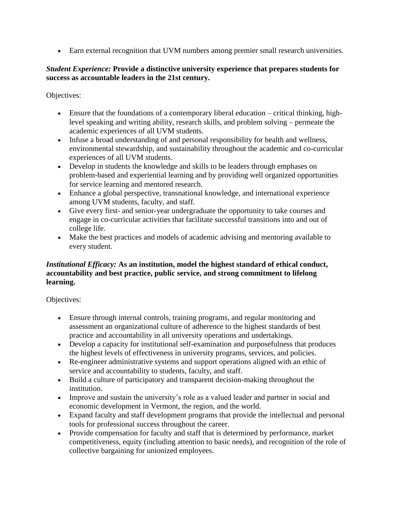Earn external recognition that UVM numbers among premier small research universities.

#### *Student Experience:* **Provide a distinctive university experience that prepares students for success as accountable leaders in the 21st century.**

Objectives:

- Ensure that the foundations of a contemporary liberal education critical thinking, highlevel speaking and writing ability, research skills, and problem solving – permeate the academic experiences of all UVM students.
- Infuse a broad understanding of and personal responsibility for health and wellness, environmental stewardship, and sustainability throughout the academic and co-curricular experiences of all UVM students.
- Develop in students the knowledge and skills to be leaders through emphases on problem-based and experiential learning and by providing well organized opportunities for service learning and mentored research.
- Enhance a global perspective, transnational knowledge, and international experience among UVM students, faculty, and staff.
- Give every first- and senior-year undergraduate the opportunity to take courses and engage in co-curricular activities that facilitate successful transitions into and out of college life.
- Make the best practices and models of academic advising and mentoring available to every student.

# *Institutional Efficacy:* **As an institution, model the highest standard of ethical conduct, accountability and best practice, public service, and strong commitment to lifelong learning.**

Objectives:

- Ensure through internal controls, training programs, and regular monitoring and assessment an organizational culture of adherence to the highest standards of best practice and accountability in all university operations and undertakings.
- Develop a capacity for institutional self-examination and purposefulness that produces the highest levels of effectiveness in university programs, services, and policies.
- Re-engineer administrative systems and support operations aligned with an ethic of service and accountability to students, faculty, and staff.
- Build a culture of participatory and transparent decision-making throughout the institution.
- Improve and sustain the university's role as a valued leader and partner in social and economic development in Vermont, the region, and the world.
- Expand faculty and staff development programs that provide the intellectual and personal tools for professional success throughout the career.
- Provide compensation for faculty and staff that is determined by performance, market competitiveness, equity (including attention to basic needs), and recognition of the role of collective bargaining for unionized employees.